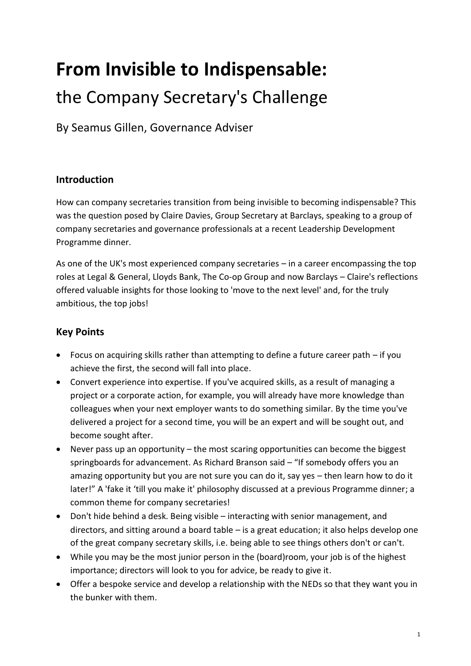# **From Invisible to Indispensable:**

## the Company Secretary's Challenge

By Seamus Gillen, Governance Adviser

### **Introduction**

How can company secretaries transition from being invisible to becoming indispensable? This was the question posed by Claire Davies, Group Secretary at Barclays, speaking to a group of company secretaries and governance professionals at a recent Leadership Development Programme dinner.

As one of the UK's most experienced company secretaries – in a career encompassing the top roles at Legal & General, Lloyds Bank, The Co-op Group and now Barclays – Claire's reflections offered valuable insights for those looking to 'move to the next level' and, for the truly ambitious, the top jobs!

### **Key Points**

- Focus on acquiring skills rather than attempting to define a future career path if you achieve the first, the second will fall into place.
- Convert experience into expertise. If you've acquired skills, as a result of managing a project or a corporate action, for example, you will already have more knowledge than colleagues when your next employer wants to do something similar. By the time you've delivered a project for a second time, you will be an expert and will be sought out, and become sought after.
- Never pass up an opportunity the most scaring opportunities can become the biggest springboards for advancement. As Richard Branson said – "If somebody offers you an amazing opportunity but you are not sure you can do it, say yes – then learn how to do it later!" A 'fake it 'till you make it' philosophy discussed at a previous Programme dinner; a common theme for company secretaries!
- Don't hide behind a desk. Being visible interacting with senior management, and directors, and sitting around a board table – is a great education; it also helps develop one of the great company secretary skills, i.e. being able to see things others don't or can't.
- While you may be the most junior person in the (board)room, your job is of the highest importance; directors will look to you for advice, be ready to give it.
- Offer a bespoke service and develop a relationship with the NEDs so that they want you in the bunker with them.